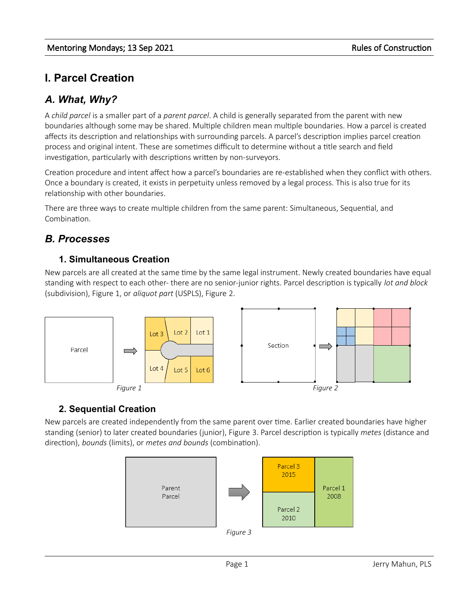# **I. Parcel Creation**

# *A. What, Why?*

A *child parcel* is a smaller part of a *parent parcel*. A child is generally separated from the parent with new boundaries although some may be shared. Multiple children mean multiple boundaries. How a parcel is created affects its description and relationships with surrounding parcels. A parcel's description implies parcel creation process and original intent. These are sometimes difficult to determine without a title search and field investigation, particularly with descriptions written by non-surveyors.

Creation procedure and intent affect how a parcel's boundaries are re-established when they conflict with others. Once a boundary is created, it exists in perpetuity unless removed by a legal process. This is also true for its relationship with other boundaries.

There are three ways to create multiple children from the same parent: Simultaneous, Sequential, and Combination.

# *B. Processes*

## **1. Simultaneous Creation**

New parcels are all created at the same time by the same legal instrument. Newly created boundaries have equal standing with respect to each other- there are no senior-junior rights. Parcel description is typically *lot and block* (subdivision), Figure 1, or *aliquot part* (USPLS), Figure [2](#page-0-0).



# **2. Sequential Creation**

New parcels are created independently from the same parent over time. Earlier created boundaries have higher standing (senior) to later created boundaries (junior), Figure [3](#page-0-1). Parcel description is typically *metes* (distance and direction), *bounds* (limits), or *metes and bounds* (combination).

<span id="page-0-1"></span><span id="page-0-0"></span>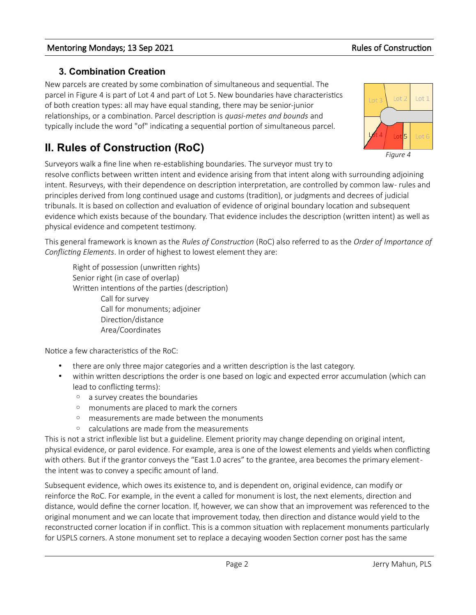## **3. Combination Creation**

New parcels are created by some combination of simultaneous and sequential. The parcel in Figure [4](#page-1-0) is part of Lot 4 and part of Lot 5. New boundaries have characteristics of both creation types: all may have equal standing, there may be senior-junior relationships, or a combination. Parcel description is *quasi-metes and bounds* and typically include the word "of" indicating a sequential portion of simultaneous parcel.

# **II. Rules of Construction (RoC)**

Surveyors walk a fine line when re-establishing boundaries. The surveyor must try to

resolve conflicts between written intent and evidence arising from that intent along with surrounding adjoining intent. Resurveys, with their dependence on description interpretation, are controlled by common law- rules and principles derived from long continued usage and customs (tradition), or judgments and decrees of judicial tribunals. It is based on collection and evaluation of evidence of original boundary location and subsequent evidence which exists because of the boundary. That evidence includes the description (written intent) as well as physical evidence and competent testimony.

This general framework is known as the *Rules of Construction* (RoC) also referred to as the *Order of Importance of Conflicting Elements*. In order of highest to lowest element they are:

Right of possession (unwritten rights) Senior right (in case of overlap) Written intentions of the parties (description) Call for survey Call for monuments; adjoiner Direction/distance Area/Coordinates

Notice a few characteristics of the RoC:

- there are only three major categories and a written description is the last category.
- within written descriptions the order is one based on logic and expected error accumulation (which can lead to conflicting terms):
	- a survey creates the boundaries
	- monuments are placed to mark the corners
	- measurements are made between the monuments
	- calculations are made from the measurements

This is not a strict inflexible list but a guideline. Element priority may change depending on original intent, physical evidence, or parol evidence. For example, area is one of the lowest elements and yields when conflicting with others. But if the grantor conveys the "East 1.0 acres" to the grantee, area becomes the primary elementthe intent was to convey a specific amount of land.

Subsequent evidence, which owes its existence to, and is dependent on, original evidence, can modify or reinforce the RoC. For example, in the event a called for monument is lost, the next elements, direction and distance, would define the corner location. If, however, we can show that an improvement was referenced to the original monument and we can locate that improvement today, then direction and distance would yield to the reconstructed corner location if in conflict. This is a common situation with replacement monuments particularly for USPLS corners. A stone monument set to replace a decaying wooden Section corner post has the same

<span id="page-1-0"></span>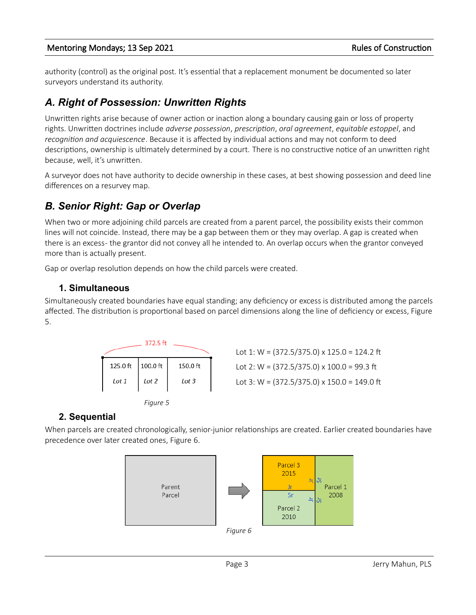authority (control) as the original post. It's essential that a replacement monument be documented so later surveyors understand its authority.

# *A. Right of Possession: Unwritten Rights*

Unwritten rights arise because of owner action or inaction along a boundary causing gain or loss of property rights. Unwritten doctrines include *adverse possession*, *prescription*, *oral agreement*, *equitable estoppel*, and *recognition and acquiescence*. Because it is affected by individual actions and may not conform to deed descriptions, ownership is ultimately determined by a court. There is no constructive notice of an unwritten right because, well, it's unwritten.

A surveyor does not have authority to decide ownership in these cases, at best showing possession and deed line differences on a resurvey map.

# *B. Senior Right: Gap or Overlap*

When two or more adjoining child parcels are created from a parent parcel, the possibility exists their common lines will not coincide. Instead, there may be a gap between them or they may overlap. A gap is created when there is an excess - the grantor did not convey all he intended to. An overlap occurs when the grantor conveyed more than is actually present.

Gap or overlap resolution depends on how the child parcels were created.

### **1. Simultaneous**

Simultaneously created boundaries have equal standing; any deficiency or excess is distributed among the parcels affected. The distribution is proportional based on parcel dimensions along the line of deficiency or excess, Figure [5](#page-2-1).





## **2. Sequential**

When parcels are created chronologically, senior-junior relationships are created. Earlier created boundaries have precedence over later created ones, Figure [6.](#page-2-0)

<span id="page-2-1"></span><span id="page-2-0"></span>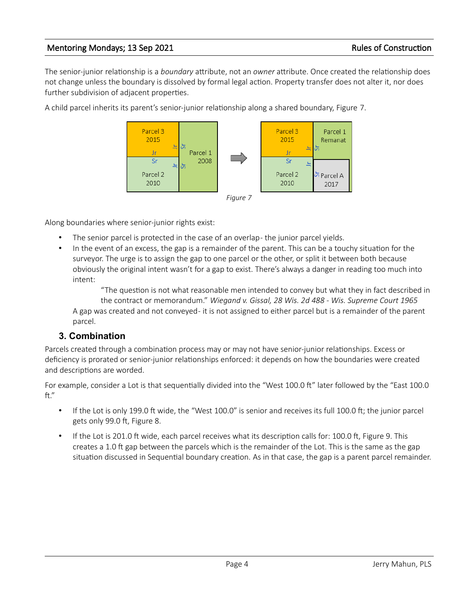The senior-junior relationship is a *boundary* attribute, not an *owner* attribute. Once created the relationship does not change unless the boundary is dissolved by formal legal action. Property transfer does not alter it, nor does further subdivision of adjacent properties.

A child parcel inherits its parent's senior-junior relationship along a shared boundary, Figure [7.](#page-3-0)

<span id="page-3-0"></span>

Along boundaries where senior-junior rights exist:

- The senior parcel is protected in the case of an overlap-the junior parcel yields.
- In the event of an excess, the gap is a remainder of the parent. This can be a touchy situation for the surveyor. The urge is to assign the gap to one parcel or the other, or split it between both because obviously the original intent wasn't for a gap to exist. There's always a danger in reading too much into intent:

"The question is not what reasonable men intended to convey but what they in fact described in the contract or memorandum." *Wiegand v. Gissal, 28 Wis. 2d 488 - Wis. Supreme Court 1965* A gap was created and not conveyed - it is not assigned to either parcel but is a remainder of the parent parcel.

### **3. Combination**

Parcels created through a combination process may or may not have senior-junior relationships. Excess or deficiency is prorated or senior-junior relationships enforced: it depends on how the boundaries were created and descriptions are worded.

For example, consider a Lot is that sequentially divided into the "West 100.0 ft" later followed by the "East 100.0 ft."

- If the Lot is only 199.0 ft wide, the "West 100.0" is senior and receives its full 100.0 ft; the junior parcel gets only 99.0 ft, Figure 8.
- If the Lot is 201.0 ft wide, each parcel receives what its description calls for: 100.0 ft, Figure 9. This creates a 1.0 ft gap between the parcels which is the remainder of the Lot. This is the same as the gap situation discussed in Sequential boundary creation. As in that case, the gap is a parent parcel remainder.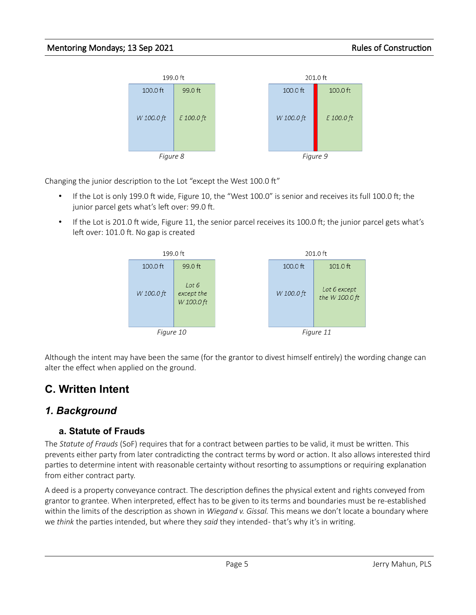

Changing the junior description to the Lot "except the West 100.0 ft"

- If the Lot is only 199.0 ft wide, Figure 10, the "West 100.0" is senior and receives its full 100.0 ft; the junior parcel gets what's left over: 99.0 ft.
- If the Lot is 201.0 ft wide, Figure 11, the senior parcel receives its 100.0 ft; the junior parcel gets what's left over: 101.0 ft. No gap is created



Although the intent may have been the same (for the grantor to divest himself entirely) the wording change can alter the effect when applied on the ground.

# **C. Written Intent**

# *1. Background*

# **a. Statute of Frauds**

The *Statute of Frauds* (SoF) requires that for a contract between parties to be valid, it must be written. This prevents either party from later contradicting the contract terms by word or action. It also allows interested third parties to determine intent with reasonable certainty without resorting to assumptions or requiring explanation from either contract party.

A deed is a property conveyance contract. The description defines the physical extent and rights conveyed from grantor to grantee. When interpreted, effect has to be given to its terms and boundaries must be re-established within the limits of the description as shown in *Wiegand v. Gissal.* This means we don't locate a boundary where we *think* the parties intended, but where they *said* they intended - that's why it's in writing.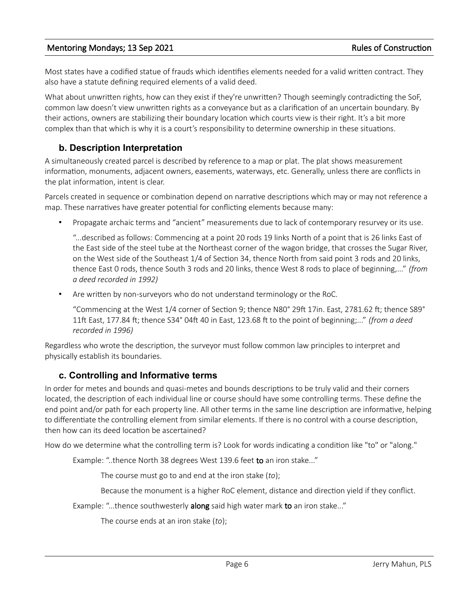Most states have a codified statue of frauds which identifies elements needed for a valid written contract. They also have a statute defining required elements of a valid deed.

What about unwritten rights, how can they exist if they're unwritten? Though seemingly contradicting the SoF, common law doesn't view unwritten rights as a conveyance but as a clarification of an uncertain boundary. By their actions, owners are stabilizing their boundary location which courts view is their right. It's a bit more complex than that which is why it is a court's responsibility to determine ownership in these situations.

## **b. Description Interpretation**

A simultaneously created parcel is described by reference to a map or plat. The plat shows measurement information, monuments, adjacent owners, easements, waterways, etc. Generally, unless there are conflicts in the plat information, intent is clear.

Parcels created in sequence or combination depend on narrative descriptions which may or may not reference a map. These narratives have greater potential for conflicting elements because many:

• Propagate archaic terms and "ancient" measurements due to lack of contemporary resurvey or its use.

"...described as follows: Commencing at a point 20 rods 19 links North of a point that is 26 links East of the East side of the steel tube at the Northeast corner of the wagon bridge, that crosses the Sugar River, on the West side of the Southeast 1/4 of Section 34, thence North from said point 3 rods and 20 links, thence East 0 rods, thence South 3 rods and 20 links, thence West 8 rods to place of beginning,..." *(from a deed recorded in 1992)*

• Are written by non-surveyors who do not understand terminology or the RoC.

"Commencing at the West 1/4 corner of Section 9; thence N80° 29ft 17in. East, 2781.62 ft; thence S89° 11ft East, 177.84 ft; thence S34° 04ft 40 in East, 123.68 ft to the point of beginning;..." *(from a deed recorded in 1996)*

Regardless who wrote the description, the surveyor must follow common law principles to interpret and physically establish its boundaries.

### **c. Controlling and Informative terms**

In order for metes and bounds and quasi-metes and bounds descriptions to be truly valid and their corners located, the description of each individual line or course should have some controlling terms. These define the end point and/or path for each property line. All other terms in the same line description are informative, helping to differentiate the controlling element from similar elements. If there is no control with a course description, then how can its deed location be ascertained?

How do we determine what the controlling term is? Look for words indicating a condition like "to" or "along."

Example: "..thence North 38 degrees West 139.6 feet to an iron stake..."

The course must go to and end at the iron stake (*to*);

Because the monument is a higher RoC element, distance and direction yield if they conflict.

Example: "...thence southwesterly along said high water mark to an iron stake..."

The course ends at an iron stake (*to*);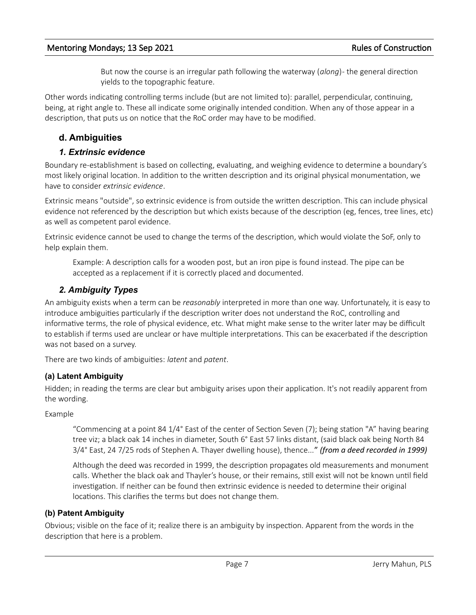But now the course is an irregular path following the waterway (*along*) - the general direction yields to the topographic feature.

Other words indicating controlling terms include (but are not limited to): parallel, perpendicular, continuing, being, at right angle to. These all indicate some originally intended condition. When any of those appear in a description, that puts us on notice that the RoC order may have to be modified.

# **d. Ambiguities**

### *1. Extrinsic evidence*

Boundary re-establishment is based on collecting, evaluating, and weighing evidence to determine a boundary's most likely original location. In addition to the written description and its original physical monumentation, we have to consider *extrinsic evidence*.

Extrinsic means "outside", so extrinsic evidence is from outside the written description. This can include physical evidence not referenced by the description but which exists because of the description (eg, fences, tree lines, etc) as well as competent parol evidence.

Extrinsic evidence cannot be used to change the terms of the description, which would violate the SoF, only to help explain them.

Example: A description calls for a wooden post, but an iron pipe is found instead. The pipe can be accepted as a replacement if it is correctly placed and documented.

## *2. Ambiguity Types*

An ambiguity exists when a term can be *reasonably* interpreted in more than one way. Unfortunately, it is easy to introduce ambiguities particularly if the description writer does not understand the RoC, controlling and informative terms, the role of physical evidence, etc. What might make sense to the writer later may be difficult to establish if terms used are unclear or have multiple interpretations. This can be exacerbated if the description was not based on a survey.

There are two kinds of ambiguities: *latent* and *patent*.

## **(a) Latent Ambiguity**

Hidden; in reading the terms are clear but ambiguity arises upon their application. It's not readily apparent from the wording.

Example

"Commencing at a point 84 1/4° East of the center of Section Seven (7); being station "A" having bearing tree viz; a black oak 14 inches in diameter, South 6° East 57 links distant, (said black oak being North 84 3/4° East, 24 7/25 rods of Stephen A. Thayer dwelling house), thence..." *(from a deed recorded in 1999)*

Although the deed was recorded in 1999, the description propagates old measurements and monument calls. Whether the black oak and Thayler's house, or their remains, still exist will not be known until field investigation. If neither can be found then extrinsic evidence is needed to determine their original locations. This clarifies the terms but does not change them.

### **(b) Patent Ambiguity**

Obvious; visible on the face of it; realize there is an ambiguity by inspection. Apparent from the words in the description that here is a problem.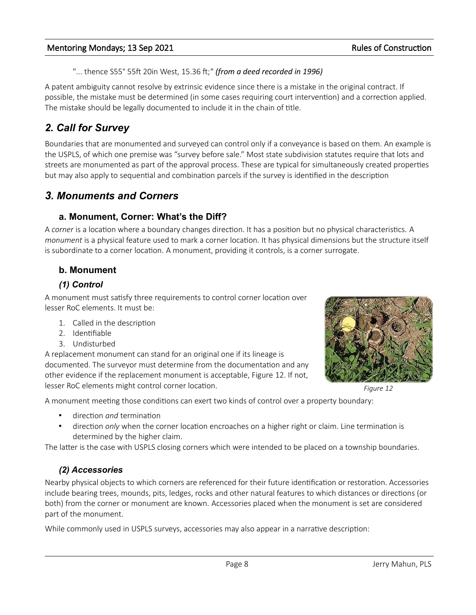"... thence S55° 55ft 20in West, 15.36 ft;" *(from a deed recorded in 1996)*

A patent ambiguity cannot resolve by extrinsic evidence since there is a mistake in the original contract. If possible, the mistake must be determined (in some cases requiring court intervention) and a correction applied. The mistake should be legally documented to include it in the chain of title.

# *2. Call for Survey*

Boundaries that are monumented and surveyed can control only if a conveyance is based on them. An example is the USPLS, of which one premise was "survey before sale." Most state subdivision statutes require that lots and streets are monumented as part of the approval process. These are typical for simultaneously created properties but may also apply to sequential and combination parcels if the survey is identified in the description

# *3. Monuments and Corners*

### **a. Monument, Corner: What's the Diff?**

A *corner* is a location where a boundary changes direction. It has a position but no physical characteristics. A *monument* is a physical feature used to mark a corner location. It has physical dimensions but the structure itself is subordinate to a corner location. A monument, providing it controls, is a corner surrogate.

## **b. Monument**

### *(1) Control*

A monument must satisfy three requirements to control corner location over lesser RoC elements. It must be:

- 1. Called in the description
- 2. Identifiable
- 3. Undisturbed

A replacement monument can stand for an original one if its lineage is documented. The surveyor must determine from the documentation and any other evidence if the replacement monument is acceptable, Figure [12](#page-7-0). If not, lesser RoC elements might control corner location.



<span id="page-7-0"></span>*Figure 12*

A monument meeting those conditions can exert two kinds of control over a property boundary:

- direction *and* termination
- direction *only* when the corner location encroaches on a higher right or claim. Line termination is determined by the higher claim.

The latter is the case with USPLS closing corners which were intended to be placed on a township boundaries.

## *(2) Accessories*

Nearby physical objects to which corners are referenced for their future identification or restoration. Accessories include bearing trees, mounds, pits, ledges, rocks and other natural features to which distances or directions (or both) from the corner or monument are known. Accessories placed when the monument is set are considered part of the monument.

While commonly used in USPLS surveys, accessories may also appear in a narrative description: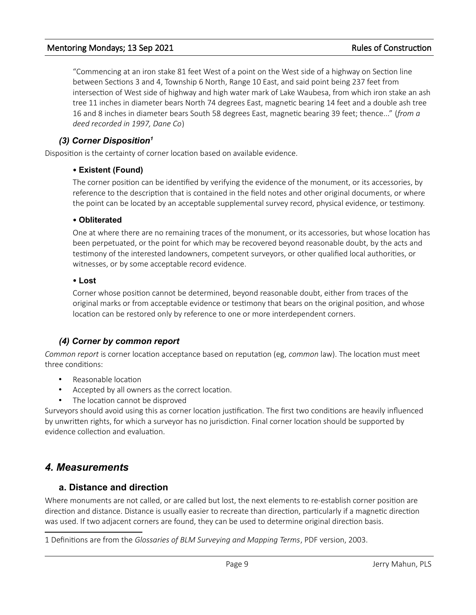"Commencing at an iron stake 81 feet West of a point on the West side of a highway on Section line between Sections 3 and 4, Township 6 North, Range 10 East, and said point being 237 feet from intersection of West side of highway and high water mark of Lake Waubesa, from which iron stake an ash tree 11 inches in diameter bears North 74 degrees East, magnetic bearing 14 feet and a double ash tree 16 and 8 inches in diameter bears South 58 degrees East, magnetic bearing 39 feet; thence..." (*from a deed recorded in 1997, Dane Co*)

### *(3) Corner Disposition[1](#page-8-0)*

Disposition is the certainty of corner location based on available evidence.

#### **Existent (Found)**

The corner position can be identified by verifying the evidence of the monument, or its accessories, by reference to the description that is contained in the field notes and other original documents, or where the point can be located by an acceptable supplemental survey record, physical evidence, or testimony.

#### **Obliterated**

One at where there are no remaining traces of the monument, or its accessories, but whose location has been perpetuated, or the point for which may be recovered beyond reasonable doubt, by the acts and testimony of the interested landowners, competent surveyors, or other qualified local authorities, or witnesses, or by some acceptable record evidence.

#### **Lost**

Corner whose position cannot be determined, beyond reasonable doubt, either from traces of the original marks or from acceptable evidence or testimony that bears on the original position, and whose location can be restored only by reference to one or more interdependent corners.

### *(4) Corner by common report*

*Common report* is corner location acceptance based on reputation (eg, *common* law). The location must meet three conditions:

- Reasonable location
- Accepted by all owners as the correct location.
- The location cannot be disproved

Surveyors should avoid using this as corner location justification. The first two conditions are heavily influenced by unwritten rights, for which a surveyor has no jurisdiction. Final corner location should be supported by evidence collection and evaluation.

## *4. Measurements*

#### **a. Distance and direction**

Where monuments are not called, or are called but lost, the next elements to re-establish corner position are direction and distance. Distance is usually easier to recreate than direction, particularly if a magnetic direction was used. If two adjacent corners are found, they can be used to determine original direction basis.

<span id="page-8-0"></span><sup>1</sup> Definitions are from the *Glossaries of BLM Surveying and Mapping Terms*, PDF version, 2003.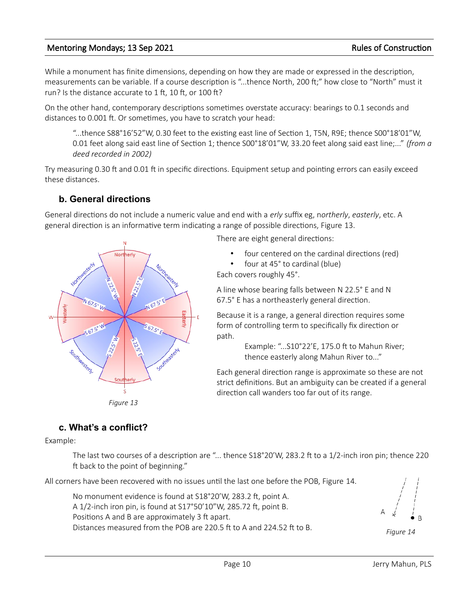While a monument has finite dimensions, depending on how they are made or expressed in the description, measurements can be variable. If a course description is "...thence North, 200 ft;" how close to "North" must it run? Is the distance accurate to 1 ft, 10 ft, or 100 ft?

On the other hand, contemporary descriptions sometimes overstate accuracy: bearings to 0.1 seconds and distances to 0.001 ft. Or sometimes, you have to scratch your head:

"...thence S88°16'52"W, 0.30 feet to the existing east line of Section 1, T5N, R9E; thence S00°18'01"W, 0.01 feet along said east line of Section 1; thence S00°18'01"W, 33.20 feet along said east line;..." *(from a deed recorded in 2002)*

Try measuring 0.30 ft and 0.01 ft in specific directions. Equipment setup and pointing errors can easily exceed these distances.

## **b. General directions**

General directions do not include a numeric value and end with a *erly* suffix eg, n*ortherly*, *easterly*, etc. A general direction is an informative term indicating a range of possible directions, Figure [13](#page-9-1).



There are eight general directions:

four centered on the cardinal directions (red)

• four at 45° to cardinal (blue) Each covers roughly 45°.

A line whose bearing falls between N 22.5° E and N 67.5° E has a northeasterly general direction.

Because it is a range, a general direction requires some form of controlling term to specifically fix direction or path.

> Example: "...S10°22'E, 175.0 ft to Mahun River; thence easterly along Mahun River to..."

Each general direction range is approximate so these are not strict definitions. But an ambiguity can be created if a general direction call wanders too far out of its range.

<span id="page-9-1"></span>*Figure 13*

# **c. What's a conflict?**

Example:

The last two courses of a description are "... thence S18°20'W, 283.2 ft to a 1/2-inch iron pin; thence 220 ft back to the point of beginning."

All corners have been recovered with no issues until the last one before the POB, Figure [14](#page-9-0).

No monument evidence is found at S18°20'W, 283.2 ft, point A. A 1/2-inch iron pin, is found at S17°50'10"W, 285.72 ft, point B. Positions A and B are approximately 3 ft apart. Distances measured from the POB are 220.5 ft to A and 224.52 ft to B.

<span id="page-9-0"></span>*Figure 14*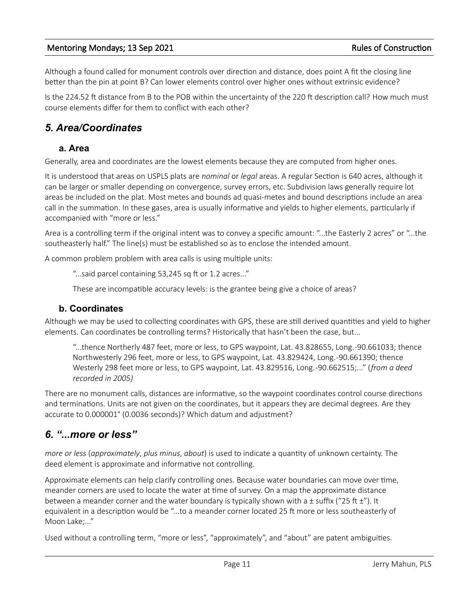Although a found called for monument controls over direction and distance, does point A fit the closing line better than the pin at point B? Can lower elements control over higher ones without extrinsic evidence?

Is the 224.52 ft distance from B to the POB within the uncertainty of the 220 ft description call? How much must course elements differ for them to conflict with each other?

# *5. Area/Coordinates*

### **a. Area**

Generally, area and coordinates are the lowest elements because they are computed from higher ones.

It is understood that areas on USPLS plats are *nominal* or *legal* areas. A regular Section is 640 acres, although it can be larger or smaller depending on convergence, survey errors, etc. Subdivision laws generally require lot areas be included on the plat. Most metes and bounds ad quasi-metes and bound descriptions include an area call in the summation. In these gases, area is usually informative and yields to higher elements, particularly if accompanied with "more or less."

Area is a controlling term if the original intent was to convey a specific amount: "...the Easterly 2 acres" or "...the southeasterly half." The line(s) must be established so as to enclose the intended amount.

A common problem problem with area calls is using multiple units:

"...said parcel containing 53,245 sq ft or 1.2 acres..."

These are incompatible accuracy levels: is the grantee being give a choice of areas?

### **b. Coordinates**

Although we may be used to collecting coordinates with GPS, these are still derived quantities and yield to higher elements. Can coordinates be controlling terms? Historically that hasn't been the case, but...

"...thence Northerly 487 feet, more or less, to GPS waypoint, Lat. 43.828655, Long. -90.661033; thence Northwesterly 296 feet, more or less, to GPS waypoint, Lat. 43.829424, Long. -90.661390; thence Westerly 298 feet more or less, to GPS waypoint, Lat. 43.829516, Long. -90.662515;..." (*from a deed recorded in 2005)*

There are no monument calls, distances are informative, so the waypoint coordinates control course directions and terminations. Units are not given on the coordinates, but it appears they are decimal degrees. Are they accurate to 0.000001° (0.0036 seconds)? Which datum and adjustment?

# *6. "...more or less"*

*more or less* (*approximately*, *plus minus*, *about*) is used to indicate a quantity of unknown certainty. The deed element is approximate and informative not controlling.

Approximate elements can help clarify controlling ones. Because water boundaries can move over time, meander corners are used to locate the water at time of survey. On a map the approximate distance between a meander corner and the water boundary is typically shown with a  $\pm$  suffix ("25 ft  $\pm$ "). It equivalent in a description would be "...to a meander corner located 25 ft more or less southeasterly of Moon Lake;..."

Used without a controlling term, "more or less", "approximately", and "about" are patent ambiguities.